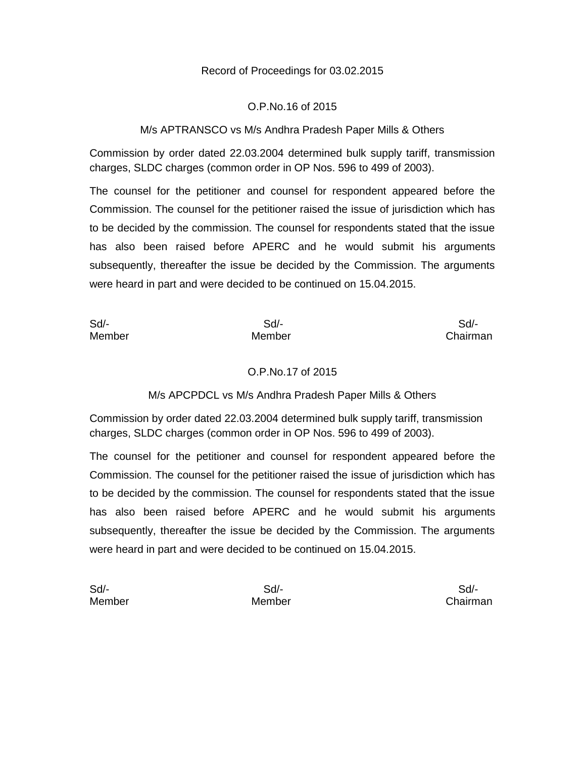## Record of Proceedings for 03.02.2015

#### O.P.No.16 of 2015

## M/s APTRANSCO vs M/s Andhra Pradesh Paper Mills & Others

Commission by order dated 22.03.2004 determined bulk supply tariff, transmission charges, SLDC charges (common order in OP Nos. 596 to 499 of 2003).

The counsel for the petitioner and counsel for respondent appeared before the Commission. The counsel for the petitioner raised the issue of jurisdiction which has to be decided by the commission. The counsel for respondents stated that the issue has also been raised before APERC and he would submit his arguments subsequently, thereafter the issue be decided by the Commission. The arguments were heard in part and were decided to be continued on 15.04.2015.

| Sd/-   | Sd/-   | Sd       |
|--------|--------|----------|
| Member | Member | Chairman |

#### O.P.No.17 of 2015

#### M/s APCPDCL vs M/s Andhra Pradesh Paper Mills & Others

Commission by order dated 22.03.2004 determined bulk supply tariff, transmission charges, SLDC charges (common order in OP Nos. 596 to 499 of 2003).

The counsel for the petitioner and counsel for respondent appeared before the Commission. The counsel for the petitioner raised the issue of jurisdiction which has to be decided by the commission. The counsel for respondents stated that the issue has also been raised before APERC and he would submit his arguments subsequently, thereafter the issue be decided by the Commission. The arguments were heard in part and were decided to be continued on 15.04.2015.

| Sd/-   |
|--------|
| Member |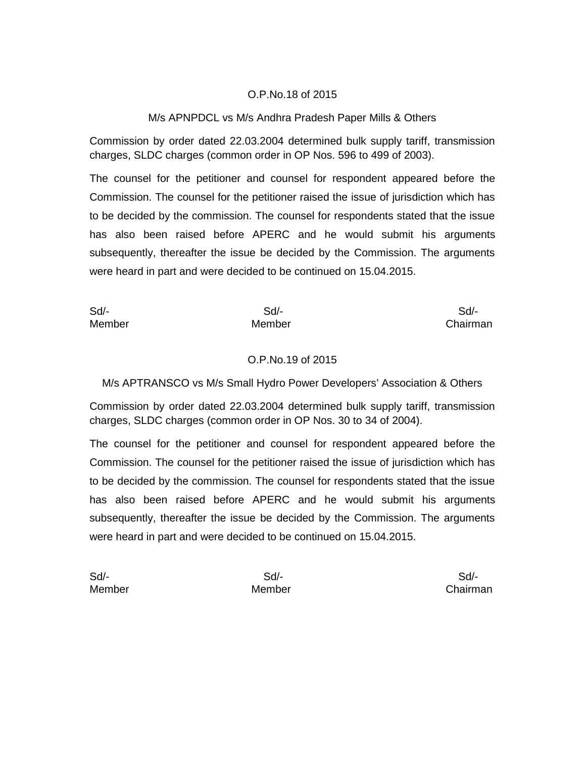## O.P.No.18 of 2015

#### M/s APNPDCL vs M/s Andhra Pradesh Paper Mills & Others

Commission by order dated 22.03.2004 determined bulk supply tariff, transmission charges, SLDC charges (common order in OP Nos. 596 to 499 of 2003).

The counsel for the petitioner and counsel for respondent appeared before the Commission. The counsel for the petitioner raised the issue of jurisdiction which has to be decided by the commission. The counsel for respondents stated that the issue has also been raised before APERC and he would submit his arguments subsequently, thereafter the issue be decided by the Commission. The arguments were heard in part and were decided to be continued on 15.04.2015.

Sd/- Sd/- Sd/- Member Member Chairman

#### O.P.No.19 of 2015

M/s APTRANSCO vs M/s Small Hydro Power Developers' Association & Others

Commission by order dated 22.03.2004 determined bulk supply tariff, transmission charges, SLDC charges (common order in OP Nos. 30 to 34 of 2004).

The counsel for the petitioner and counsel for respondent appeared before the Commission. The counsel for the petitioner raised the issue of jurisdiction which has to be decided by the commission. The counsel for respondents stated that the issue has also been raised before APERC and he would submit his arguments subsequently, thereafter the issue be decided by the Commission. The arguments were heard in part and were decided to be continued on 15.04.2015.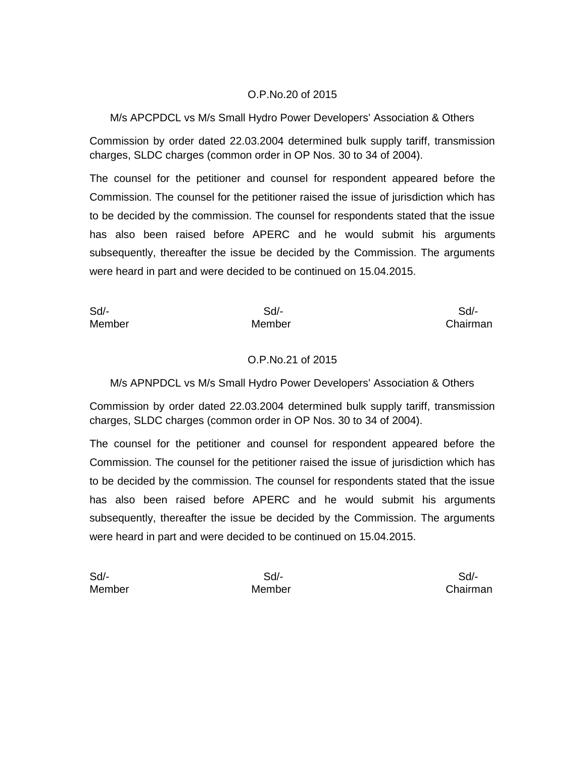## O.P.No.20 of 2015

## M/s APCPDCL vs M/s Small Hydro Power Developers' Association & Others

Commission by order dated 22.03.2004 determined bulk supply tariff, transmission charges, SLDC charges (common order in OP Nos. 30 to 34 of 2004).

The counsel for the petitioner and counsel for respondent appeared before the Commission. The counsel for the petitioner raised the issue of jurisdiction which has to be decided by the commission. The counsel for respondents stated that the issue has also been raised before APERC and he would submit his arguments subsequently, thereafter the issue be decided by the Commission. The arguments were heard in part and were decided to be continued on 15.04.2015.

Sd/- Sd/- Sd/- Member Member Chairman

## O.P.No.21 of 2015

M/s APNPDCL vs M/s Small Hydro Power Developers' Association & Others

Commission by order dated 22.03.2004 determined bulk supply tariff, transmission charges, SLDC charges (common order in OP Nos. 30 to 34 of 2004).

The counsel for the petitioner and counsel for respondent appeared before the Commission. The counsel for the petitioner raised the issue of jurisdiction which has to be decided by the commission. The counsel for respondents stated that the issue has also been raised before APERC and he would submit his arguments subsequently, thereafter the issue be decided by the Commission. The arguments were heard in part and were decided to be continued on 15.04.2015.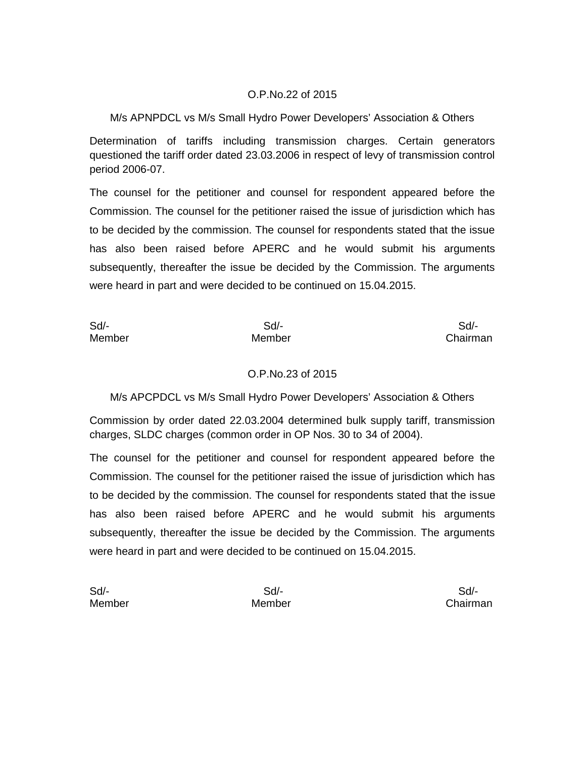## O.P.No.22 of 2015

## M/s APNPDCL vs M/s Small Hydro Power Developers' Association & Others

Determination of tariffs including transmission charges. Certain generators questioned the tariff order dated 23.03.2006 in respect of levy of transmission control period 2006-07.

The counsel for the petitioner and counsel for respondent appeared before the Commission. The counsel for the petitioner raised the issue of jurisdiction which has to be decided by the commission. The counsel for respondents stated that the issue has also been raised before APERC and he would submit his arguments subsequently, thereafter the issue be decided by the Commission. The arguments were heard in part and were decided to be continued on 15.04.2015.

Member Member Chairman

Sd/- Sd/- Sd/-

## O.P.No.23 of 2015

M/s APCPDCL vs M/s Small Hydro Power Developers' Association & Others

Commission by order dated 22.03.2004 determined bulk supply tariff, transmission charges, SLDC charges (common order in OP Nos. 30 to 34 of 2004).

The counsel for the petitioner and counsel for respondent appeared before the Commission. The counsel for the petitioner raised the issue of jurisdiction which has to be decided by the commission. The counsel for respondents stated that the issue has also been raised before APERC and he would submit his arguments subsequently, thereafter the issue be decided by the Commission. The arguments were heard in part and were decided to be continued on 15.04.2015.

Member Member Chairman

Sd/- Sd/- Sd/-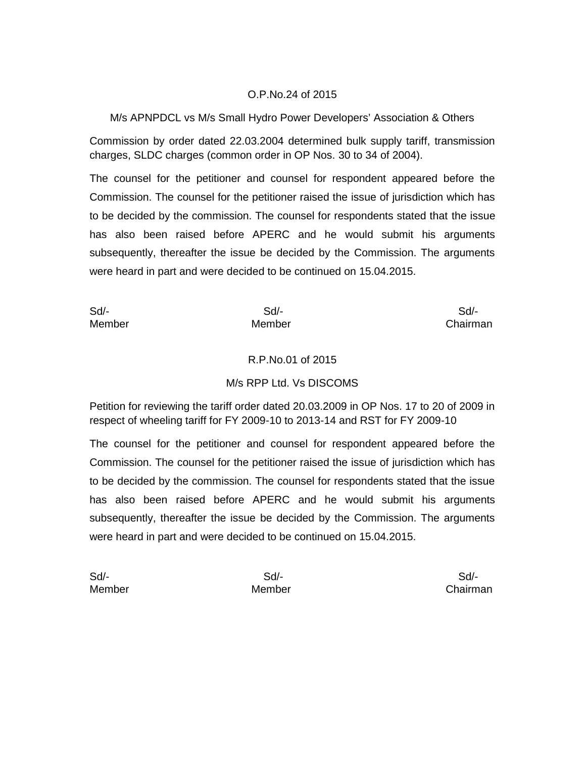## O.P.No.24 of 2015

## M/s APNPDCL vs M/s Small Hydro Power Developers' Association & Others

Commission by order dated 22.03.2004 determined bulk supply tariff, transmission charges, SLDC charges (common order in OP Nos. 30 to 34 of 2004).

The counsel for the petitioner and counsel for respondent appeared before the Commission. The counsel for the petitioner raised the issue of jurisdiction which has to be decided by the commission. The counsel for respondents stated that the issue has also been raised before APERC and he would submit his arguments subsequently, thereafter the issue be decided by the Commission. The arguments were heard in part and were decided to be continued on 15.04.2015.

Member Member Chairman

Sd/- Sd/- Sd/-

#### R.P.No.01 of 2015

## M/s RPP Ltd. Vs DISCOMS

Petition for reviewing the tariff order dated 20.03.2009 in OP Nos. 17 to 20 of 2009 in respect of wheeling tariff for FY 2009-10 to 2013-14 and RST for FY 2009-10

The counsel for the petitioner and counsel for respondent appeared before the Commission. The counsel for the petitioner raised the issue of jurisdiction which has to be decided by the commission. The counsel for respondents stated that the issue has also been raised before APERC and he would submit his arguments subsequently, thereafter the issue be decided by the Commission. The arguments were heard in part and were decided to be continued on 15.04.2015.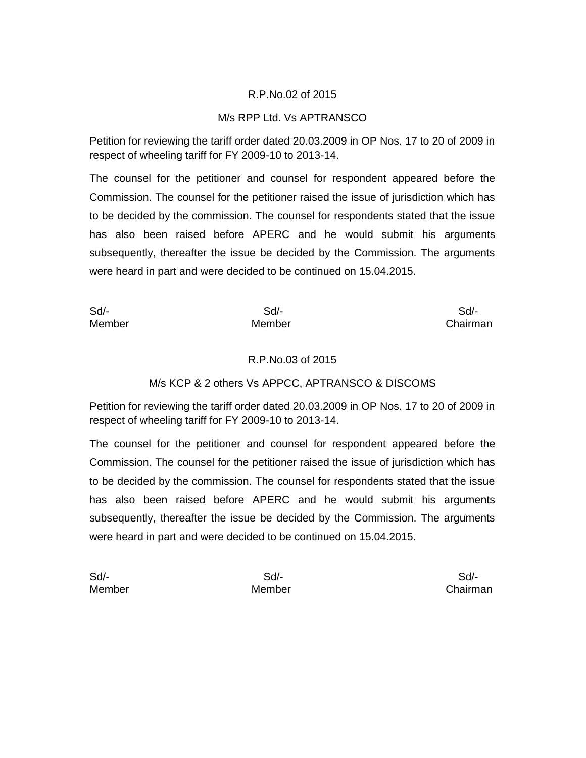### R.P.No.02 of 2015

#### M/s RPP Ltd. Vs APTRANSCO

Petition for reviewing the tariff order dated 20.03.2009 in OP Nos. 17 to 20 of 2009 in respect of wheeling tariff for FY 2009-10 to 2013-14.

The counsel for the petitioner and counsel for respondent appeared before the Commission. The counsel for the petitioner raised the issue of jurisdiction which has to be decided by the commission. The counsel for respondents stated that the issue has also been raised before APERC and he would submit his arguments subsequently, thereafter the issue be decided by the Commission. The arguments were heard in part and were decided to be continued on 15.04.2015.

Sd/- Sd/- Sd/- Member Member Chairman

#### R.P.No.03 of 2015

## M/s KCP & 2 others Vs APPCC, APTRANSCO & DISCOMS

Petition for reviewing the tariff order dated 20.03.2009 in OP Nos. 17 to 20 of 2009 in respect of wheeling tariff for FY 2009-10 to 2013-14.

The counsel for the petitioner and counsel for respondent appeared before the Commission. The counsel for the petitioner raised the issue of jurisdiction which has to be decided by the commission. The counsel for respondents stated that the issue has also been raised before APERC and he would submit his arguments subsequently, thereafter the issue be decided by the Commission. The arguments were heard in part and were decided to be continued on 15.04.2015.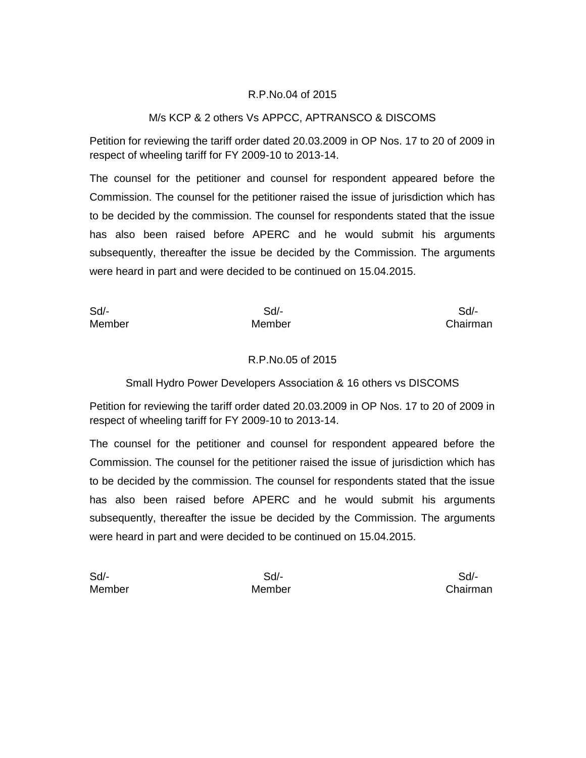## R.P.No.04 of 2015

## M/s KCP & 2 others Vs APPCC, APTRANSCO & DISCOMS

Petition for reviewing the tariff order dated 20.03.2009 in OP Nos. 17 to 20 of 2009 in respect of wheeling tariff for FY 2009-10 to 2013-14.

The counsel for the petitioner and counsel for respondent appeared before the Commission. The counsel for the petitioner raised the issue of jurisdiction which has to be decided by the commission. The counsel for respondents stated that the issue has also been raised before APERC and he would submit his arguments subsequently, thereafter the issue be decided by the Commission. The arguments were heard in part and were decided to be continued on 15.04.2015.

Sd/- Sd/- Sd/- Member Member Chairman

#### R.P.No.05 of 2015

Small Hydro Power Developers Association & 16 others vs DISCOMS

Petition for reviewing the tariff order dated 20.03.2009 in OP Nos. 17 to 20 of 2009 in respect of wheeling tariff for FY 2009-10 to 2013-14.

The counsel for the petitioner and counsel for respondent appeared before the Commission. The counsel for the petitioner raised the issue of jurisdiction which has to be decided by the commission. The counsel for respondents stated that the issue has also been raised before APERC and he would submit his arguments subsequently, thereafter the issue be decided by the Commission. The arguments were heard in part and were decided to be continued on 15.04.2015.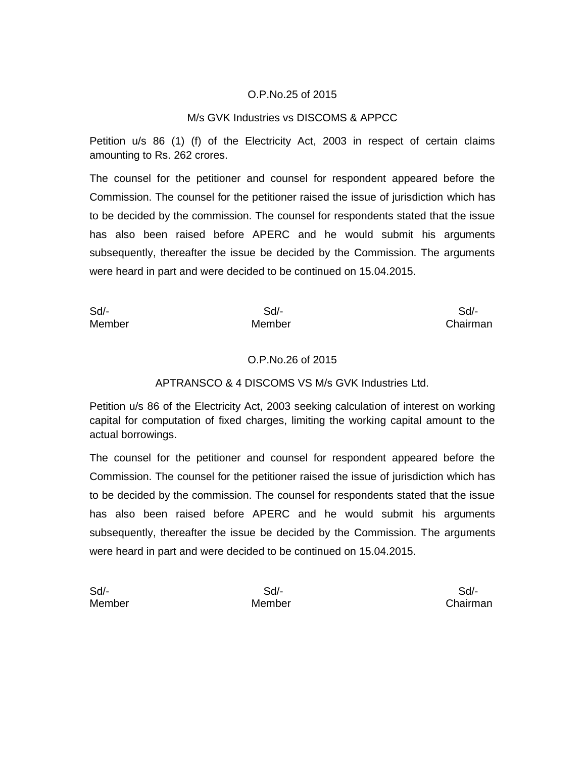## O.P.No.25 of 2015

#### M/s GVK Industries vs DISCOMS & APPCC

Petition u/s 86 (1) (f) of the Electricity Act, 2003 in respect of certain claims amounting to Rs. 262 crores.

The counsel for the petitioner and counsel for respondent appeared before the Commission. The counsel for the petitioner raised the issue of jurisdiction which has to be decided by the commission. The counsel for respondents stated that the issue has also been raised before APERC and he would submit his arguments subsequently, thereafter the issue be decided by the Commission. The arguments were heard in part and were decided to be continued on 15.04.2015.

Sd/- Sd/- Sd/- Member Member Chairman

#### O.P.No.26 of 2015

#### APTRANSCO & 4 DISCOMS VS M/s GVK Industries Ltd.

Petition u/s 86 of the Electricity Act, 2003 seeking calculation of interest on working capital for computation of fixed charges, limiting the working capital amount to the actual borrowings.

The counsel for the petitioner and counsel for respondent appeared before the Commission. The counsel for the petitioner raised the issue of jurisdiction which has to be decided by the commission. The counsel for respondents stated that the issue has also been raised before APERC and he would submit his arguments subsequently, thereafter the issue be decided by the Commission. The arguments were heard in part and were decided to be continued on 15.04.2015.

| Sd/-   |  |
|--------|--|
| Member |  |

Member Member Chairman

Sd/- Sd/- Sd/-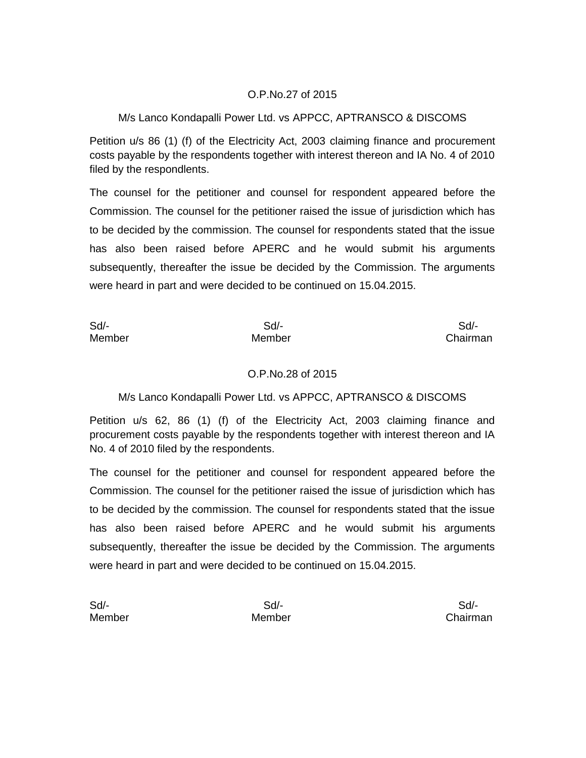## O.P.No.27 of 2015

## M/s Lanco Kondapalli Power Ltd. vs APPCC, APTRANSCO & DISCOMS

Petition u/s 86 (1) (f) of the Electricity Act, 2003 claiming finance and procurement costs payable by the respondents together with interest thereon and IA No. 4 of 2010 filed by the respondlents.

The counsel for the petitioner and counsel for respondent appeared before the Commission. The counsel for the petitioner raised the issue of jurisdiction which has to be decided by the commission. The counsel for respondents stated that the issue has also been raised before APERC and he would submit his arguments subsequently, thereafter the issue be decided by the Commission. The arguments were heard in part and were decided to be continued on 15.04.2015.

Sd/- Sd/- Sd/-

Member Member Chairman

## O.P.No.28 of 2015

## M/s Lanco Kondapalli Power Ltd. vs APPCC, APTRANSCO & DISCOMS

Petition u/s 62, 86 (1) (f) of the Electricity Act, 2003 claiming finance and procurement costs payable by the respondents together with interest thereon and IA No. 4 of 2010 filed by the respondents.

The counsel for the petitioner and counsel for respondent appeared before the Commission. The counsel for the petitioner raised the issue of jurisdiction which has to be decided by the commission. The counsel for respondents stated that the issue has also been raised before APERC and he would submit his arguments subsequently, thereafter the issue be decided by the Commission. The arguments were heard in part and were decided to be continued on 15.04.2015.

| Sd/-   |  |
|--------|--|
| Member |  |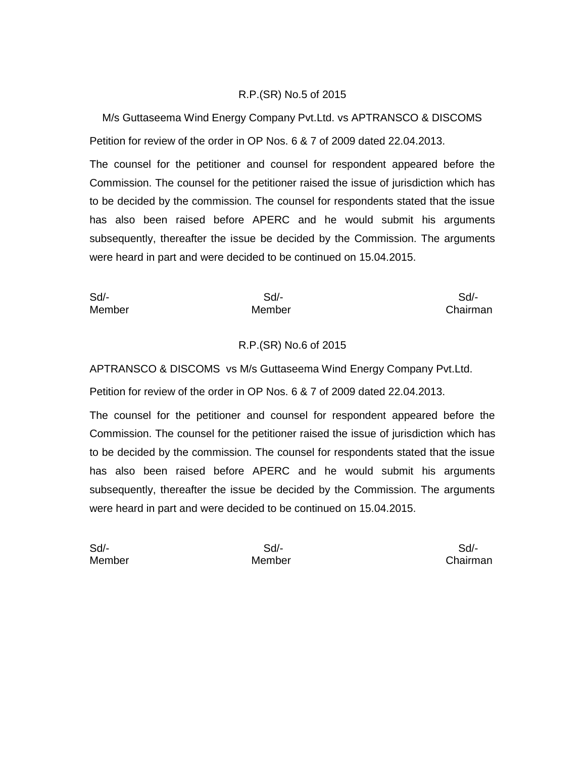## R.P.(SR) No.5 of 2015

M/s Guttaseema Wind Energy Company Pvt.Ltd. vs APTRANSCO & DISCOMS Petition for review of the order in OP Nos. 6 & 7 of 2009 dated 22.04.2013.

The counsel for the petitioner and counsel for respondent appeared before the Commission. The counsel for the petitioner raised the issue of jurisdiction which has to be decided by the commission. The counsel for respondents stated that the issue has also been raised before APERC and he would submit his arguments subsequently, thereafter the issue be decided by the Commission. The arguments were heard in part and were decided to be continued on 15.04.2015.

Sd/- Sd/- Sd/- Member Member Chairman

## R.P.(SR) No.6 of 2015

APTRANSCO & DISCOMS vs M/s Guttaseema Wind Energy Company Pvt.Ltd.

Petition for review of the order in OP Nos. 6 & 7 of 2009 dated 22.04.2013.

The counsel for the petitioner and counsel for respondent appeared before the Commission. The counsel for the petitioner raised the issue of jurisdiction which has to be decided by the commission. The counsel for respondents stated that the issue has also been raised before APERC and he would submit his arguments subsequently, thereafter the issue be decided by the Commission. The arguments were heard in part and were decided to be continued on 15.04.2015.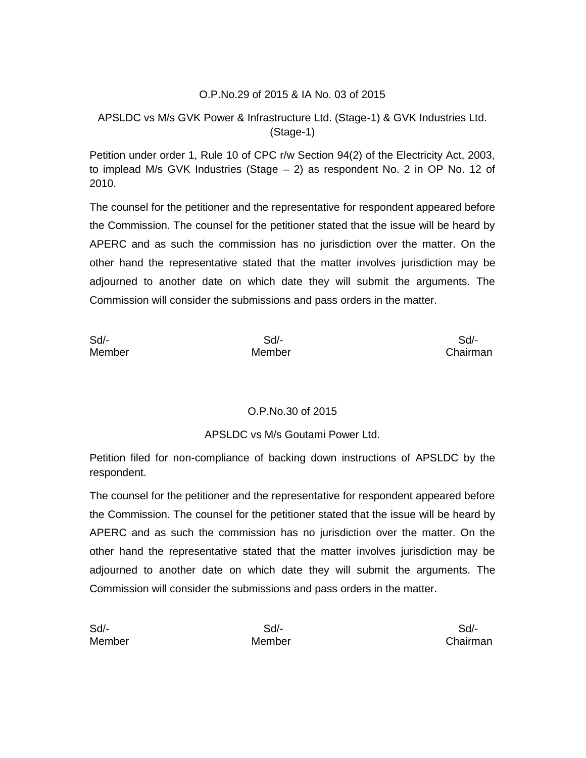## O.P.No.29 of 2015 & IA No. 03 of 2015

# APSLDC vs M/s GVK Power & Infrastructure Ltd. (Stage-1) & GVK Industries Ltd. (Stage-1)

Petition under order 1, Rule 10 of CPC r/w Section 94(2) of the Electricity Act, 2003, to implead M/s GVK Industries (Stage – 2) as respondent No. 2 in OP No. 12 of 2010.

The counsel for the petitioner and the representative for respondent appeared before the Commission. The counsel for the petitioner stated that the issue will be heard by APERC and as such the commission has no jurisdiction over the matter. On the other hand the representative stated that the matter involves jurisdiction may be adjourned to another date on which date they will submit the arguments. The Commission will consider the submissions and pass orders in the matter.

| Sd     | Sd/-   | Sd/-     |
|--------|--------|----------|
| Member | Member | Chairman |

## O.P.No.30 of 2015

## APSLDC vs M/s Goutami Power Ltd.

Petition filed for non-compliance of backing down instructions of APSLDC by the respondent.

The counsel for the petitioner and the representative for respondent appeared before the Commission. The counsel for the petitioner stated that the issue will be heard by APERC and as such the commission has no jurisdiction over the matter. On the other hand the representative stated that the matter involves jurisdiction may be adjourned to another date on which date they will submit the arguments. The Commission will consider the submissions and pass orders in the matter.

| Sd     | Sd/-   | Sd/-     |
|--------|--------|----------|
| Member | Member | Chairman |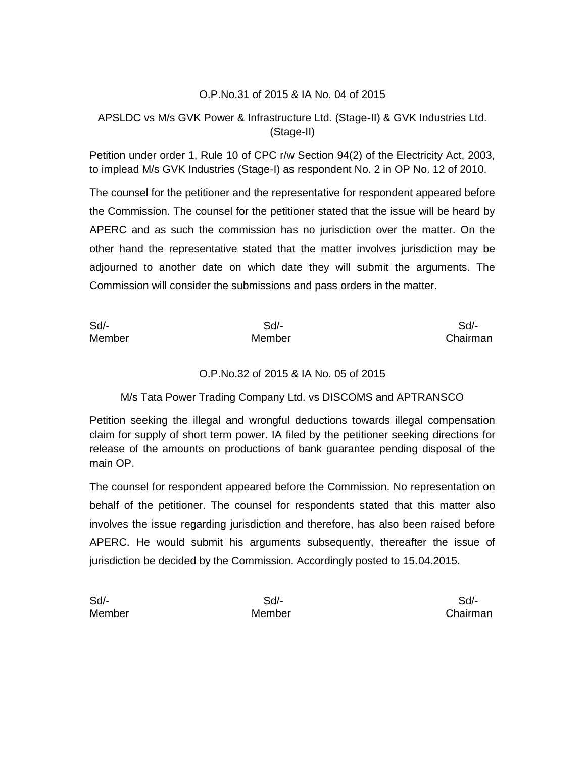## O.P.No.31 of 2015 & IA No. 04 of 2015

# APSLDC vs M/s GVK Power & Infrastructure Ltd. (Stage-II) & GVK Industries Ltd. (Stage-II)

Petition under order 1, Rule 10 of CPC r/w Section 94(2) of the Electricity Act, 2003, to implead M/s GVK Industries (Stage-I) as respondent No. 2 in OP No. 12 of 2010.

The counsel for the petitioner and the representative for respondent appeared before the Commission. The counsel for the petitioner stated that the issue will be heard by APERC and as such the commission has no jurisdiction over the matter. On the other hand the representative stated that the matter involves jurisdiction may be adjourned to another date on which date they will submit the arguments. The Commission will consider the submissions and pass orders in the matter.

| Sd/-   | Sd/-   | Sd/-     |
|--------|--------|----------|
| Member | Member | Chairman |

## O.P.No.32 of 2015 & IA No. 05 of 2015

## M/s Tata Power Trading Company Ltd. vs DISCOMS and APTRANSCO

Petition seeking the illegal and wrongful deductions towards illegal compensation claim for supply of short term power. IA filed by the petitioner seeking directions for release of the amounts on productions of bank guarantee pending disposal of the main OP.

The counsel for respondent appeared before the Commission. No representation on behalf of the petitioner. The counsel for respondents stated that this matter also involves the issue regarding jurisdiction and therefore, has also been raised before APERC. He would submit his arguments subsequently, thereafter the issue of jurisdiction be decided by the Commission. Accordingly posted to 15.04.2015.

| Sd     | Sd/-   | Sd/-     |
|--------|--------|----------|
| Member | Member | Chairman |